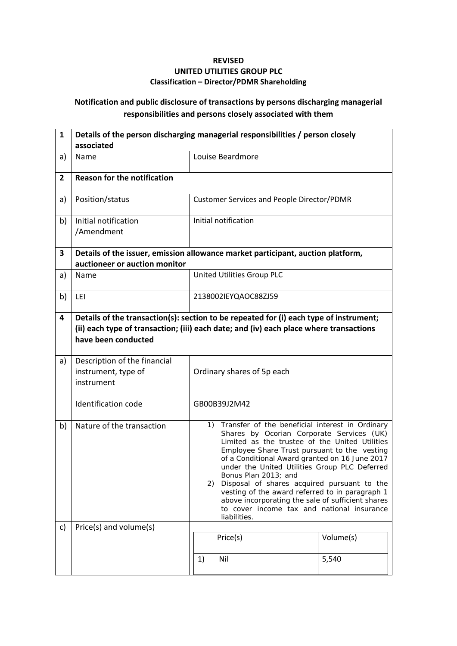## **REVISED UNITED UTILITIES GROUP PLC Classification – Director/PDMR Shareholding**

## **Notification and public disclosure of transactions by persons discharging managerial responsibilities and persons closely associated with them**

| $\mathbf{1}$   | Details of the person discharging managerial responsibilities / person closely<br>associated                     |                                                                                                                                                                                                                                                                                                                                                                                                                                                                                                                                                         |                  |       |  |  |  |
|----------------|------------------------------------------------------------------------------------------------------------------|---------------------------------------------------------------------------------------------------------------------------------------------------------------------------------------------------------------------------------------------------------------------------------------------------------------------------------------------------------------------------------------------------------------------------------------------------------------------------------------------------------------------------------------------------------|------------------|-------|--|--|--|
| a)             | Name                                                                                                             |                                                                                                                                                                                                                                                                                                                                                                                                                                                                                                                                                         | Louise Beardmore |       |  |  |  |
| $\overline{2}$ | <b>Reason for the notification</b>                                                                               |                                                                                                                                                                                                                                                                                                                                                                                                                                                                                                                                                         |                  |       |  |  |  |
| a)             | Position/status                                                                                                  | <b>Customer Services and People Director/PDMR</b>                                                                                                                                                                                                                                                                                                                                                                                                                                                                                                       |                  |       |  |  |  |
| b)             | Initial notification<br>/Amendment                                                                               | Initial notification                                                                                                                                                                                                                                                                                                                                                                                                                                                                                                                                    |                  |       |  |  |  |
| 3              | Details of the issuer, emission allowance market participant, auction platform,<br>auctioneer or auction monitor |                                                                                                                                                                                                                                                                                                                                                                                                                                                                                                                                                         |                  |       |  |  |  |
| a)             | Name                                                                                                             | United Utilities Group PLC                                                                                                                                                                                                                                                                                                                                                                                                                                                                                                                              |                  |       |  |  |  |
| b)             | LEI                                                                                                              | 2138002IEYQAOC88ZJ59                                                                                                                                                                                                                                                                                                                                                                                                                                                                                                                                    |                  |       |  |  |  |
| 4              | have been conducted                                                                                              | Details of the transaction(s): section to be repeated for (i) each type of instrument;<br>(ii) each type of transaction; (iii) each date; and (iv) each place where transactions                                                                                                                                                                                                                                                                                                                                                                        |                  |       |  |  |  |
| a)             | Description of the financial<br>instrument, type of<br>instrument                                                | Ordinary shares of 5p each                                                                                                                                                                                                                                                                                                                                                                                                                                                                                                                              |                  |       |  |  |  |
|                | <b>Identification code</b>                                                                                       |                                                                                                                                                                                                                                                                                                                                                                                                                                                                                                                                                         | GB00B39J2M42     |       |  |  |  |
| b)             | Nature of the transaction                                                                                        | 1) Transfer of the beneficial interest in Ordinary<br>Shares by Ocorian Corporate Services (UK)<br>Limited as the trustee of the United Utilities<br>Employee Share Trust pursuant to the vesting<br>of a Conditional Award granted on 16 June 2017<br>under the United Utilities Group PLC Deferred<br>Bonus Plan 2013; and<br>Disposal of shares acquired pursuant to the<br>2)<br>vesting of the award referred to in paragraph 1<br>above incorporating the sale of sufficient shares<br>to cover income tax and national insurance<br>liabilities. |                  |       |  |  |  |
| c)             | Price(s) and volume(s)                                                                                           | Price(s)<br>Volume(s)                                                                                                                                                                                                                                                                                                                                                                                                                                                                                                                                   |                  |       |  |  |  |
|                |                                                                                                                  | 1)                                                                                                                                                                                                                                                                                                                                                                                                                                                                                                                                                      | Nil              | 5,540 |  |  |  |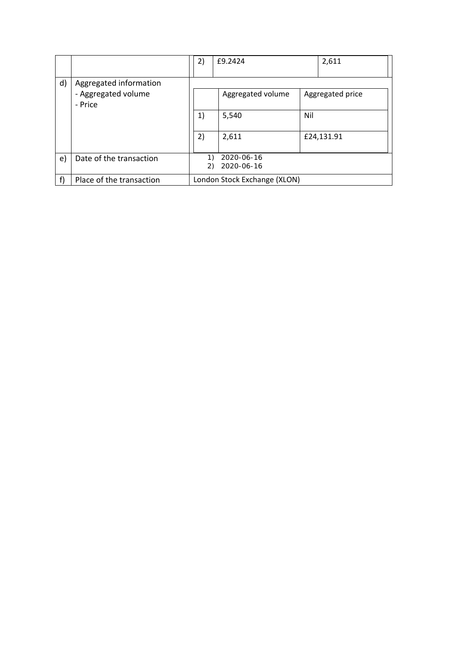|              |                                                          | 2)                           | £9.2424                  |     | 2,611            |  |
|--------------|----------------------------------------------------------|------------------------------|--------------------------|-----|------------------|--|
| $\mathsf{d}$ | Aggregated information<br>- Aggregated volume<br>- Price |                              | Aggregated volume        |     | Aggregated price |  |
|              |                                                          | 1)                           | 5,540                    | Nil |                  |  |
|              |                                                          | 2)                           | 2,611                    |     | £24,131.91       |  |
| e)           | Date of the transaction                                  | 1)<br>2)                     | 2020-06-16<br>2020-06-16 |     |                  |  |
| f)           | Place of the transaction                                 | London Stock Exchange (XLON) |                          |     |                  |  |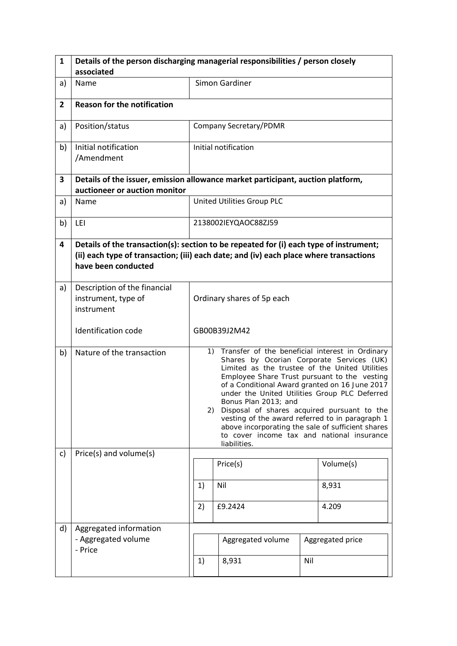| $\mathbf{1}$   | Details of the person discharging managerial responsibilities / person closely<br>associated                     |                                                                                                                                                                                                                                                                                                                                                                                                                                                                                                                                                          |                            |       |                  |  |
|----------------|------------------------------------------------------------------------------------------------------------------|----------------------------------------------------------------------------------------------------------------------------------------------------------------------------------------------------------------------------------------------------------------------------------------------------------------------------------------------------------------------------------------------------------------------------------------------------------------------------------------------------------------------------------------------------------|----------------------------|-------|------------------|--|
| a)             | Name                                                                                                             | Simon Gardiner                                                                                                                                                                                                                                                                                                                                                                                                                                                                                                                                           |                            |       |                  |  |
| $\overline{2}$ | <b>Reason for the notification</b>                                                                               |                                                                                                                                                                                                                                                                                                                                                                                                                                                                                                                                                          |                            |       |                  |  |
| a)             | Position/status                                                                                                  |                                                                                                                                                                                                                                                                                                                                                                                                                                                                                                                                                          | Company Secretary/PDMR     |       |                  |  |
| b)             | Initial notification<br>/Amendment                                                                               | Initial notification                                                                                                                                                                                                                                                                                                                                                                                                                                                                                                                                     |                            |       |                  |  |
| $\mathbf{3}$   | Details of the issuer, emission allowance market participant, auction platform,<br>auctioneer or auction monitor |                                                                                                                                                                                                                                                                                                                                                                                                                                                                                                                                                          |                            |       |                  |  |
| a)             | Name                                                                                                             |                                                                                                                                                                                                                                                                                                                                                                                                                                                                                                                                                          | United Utilities Group PLC |       |                  |  |
| b)             | LEI                                                                                                              |                                                                                                                                                                                                                                                                                                                                                                                                                                                                                                                                                          | 2138002IEYQAOC88ZJ59       |       |                  |  |
| 4              | have been conducted                                                                                              | Details of the transaction(s): section to be repeated for (i) each type of instrument;<br>(ii) each type of transaction; (iii) each date; and (iv) each place where transactions                                                                                                                                                                                                                                                                                                                                                                         |                            |       |                  |  |
| a)             | Description of the financial<br>instrument, type of<br>instrument                                                | Ordinary shares of 5p each                                                                                                                                                                                                                                                                                                                                                                                                                                                                                                                               |                            |       |                  |  |
|                | Identification code                                                                                              | GB00B39J2M42                                                                                                                                                                                                                                                                                                                                                                                                                                                                                                                                             |                            |       |                  |  |
| b)             | Nature of the transaction                                                                                        | 1) Transfer of the beneficial interest in Ordinary<br>Shares by Ocorian Corporate Services (UK)<br>Limited as the trustee of the United Utilities<br>Employee Share Trust pursuant to the vesting<br>of a Conditional Award granted on 16 June 2017<br>under the United Utilities Group PLC Deferred<br>Bonus Plan 2013; and<br>Disposal of shares acquired pursuant to the<br>2).<br>vesting of the award referred to in paragraph 1<br>above incorporating the sale of sufficient shares<br>to cover income tax and national insurance<br>liabilities. |                            |       |                  |  |
| c)             | Price(s) and volume(s)                                                                                           |                                                                                                                                                                                                                                                                                                                                                                                                                                                                                                                                                          | Price(s)                   |       | Volume(s)        |  |
|                |                                                                                                                  | Nil<br>1)                                                                                                                                                                                                                                                                                                                                                                                                                                                                                                                                                |                            | 8,931 |                  |  |
|                |                                                                                                                  | £9.2424<br>2)<br>4.209                                                                                                                                                                                                                                                                                                                                                                                                                                                                                                                                   |                            |       |                  |  |
| d)             | Aggregated information<br>- Aggregated volume                                                                    |                                                                                                                                                                                                                                                                                                                                                                                                                                                                                                                                                          |                            |       |                  |  |
|                | - Price                                                                                                          | 1)                                                                                                                                                                                                                                                                                                                                                                                                                                                                                                                                                       | Aggregated volume<br>8,931 | Nil   | Aggregated price |  |
|                |                                                                                                                  |                                                                                                                                                                                                                                                                                                                                                                                                                                                                                                                                                          |                            |       |                  |  |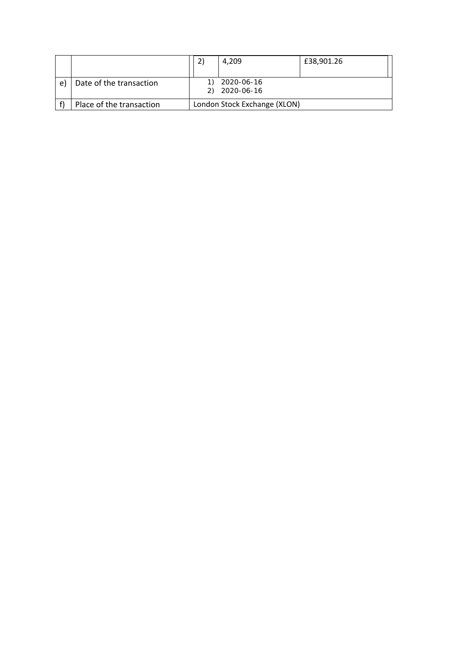|    |                          | 4,209                        | £38,901.26 |
|----|--------------------------|------------------------------|------------|
| e) | Date of the transaction  | 2020-06-16                   |            |
|    |                          | 2020-06-16                   |            |
|    | Place of the transaction | London Stock Exchange (XLON) |            |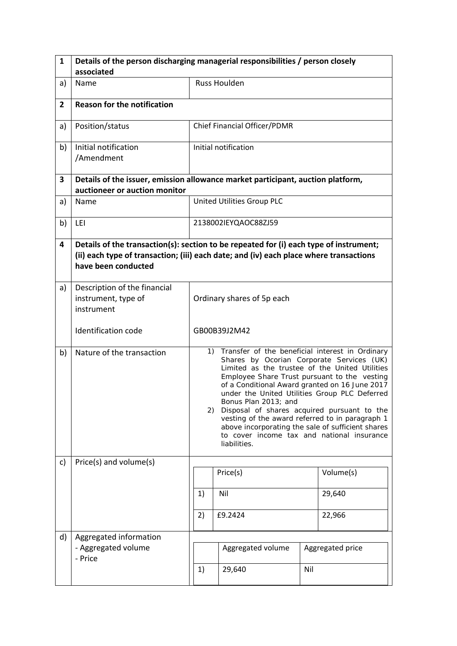| $\mathbf{1}$   | Details of the person discharging managerial responsibilities / person closely<br>associated                     |                                                                                                                                                                                                                                                                                                                                                                                                                                                                                                                                                         |                              |        |                  |  |
|----------------|------------------------------------------------------------------------------------------------------------------|---------------------------------------------------------------------------------------------------------------------------------------------------------------------------------------------------------------------------------------------------------------------------------------------------------------------------------------------------------------------------------------------------------------------------------------------------------------------------------------------------------------------------------------------------------|------------------------------|--------|------------------|--|
| a)             | Name                                                                                                             | <b>Russ Houlden</b>                                                                                                                                                                                                                                                                                                                                                                                                                                                                                                                                     |                              |        |                  |  |
| $\overline{2}$ | <b>Reason for the notification</b>                                                                               |                                                                                                                                                                                                                                                                                                                                                                                                                                                                                                                                                         |                              |        |                  |  |
| a)             | Position/status                                                                                                  |                                                                                                                                                                                                                                                                                                                                                                                                                                                                                                                                                         | Chief Financial Officer/PDMR |        |                  |  |
| b)             | Initial notification<br>/Amendment                                                                               |                                                                                                                                                                                                                                                                                                                                                                                                                                                                                                                                                         | Initial notification         |        |                  |  |
| $\mathbf{3}$   | Details of the issuer, emission allowance market participant, auction platform,<br>auctioneer or auction monitor |                                                                                                                                                                                                                                                                                                                                                                                                                                                                                                                                                         |                              |        |                  |  |
| a)             | Name                                                                                                             |                                                                                                                                                                                                                                                                                                                                                                                                                                                                                                                                                         | United Utilities Group PLC   |        |                  |  |
| b)             | LEI                                                                                                              |                                                                                                                                                                                                                                                                                                                                                                                                                                                                                                                                                         | 2138002IEYQAOC88ZJ59         |        |                  |  |
| 4              | have been conducted                                                                                              | Details of the transaction(s): section to be repeated for (i) each type of instrument;<br>(ii) each type of transaction; (iii) each date; and (iv) each place where transactions                                                                                                                                                                                                                                                                                                                                                                        |                              |        |                  |  |
| a)             | Description of the financial<br>instrument, type of<br>instrument                                                | Ordinary shares of 5p each                                                                                                                                                                                                                                                                                                                                                                                                                                                                                                                              |                              |        |                  |  |
|                | Identification code                                                                                              | GB00B39J2M42                                                                                                                                                                                                                                                                                                                                                                                                                                                                                                                                            |                              |        |                  |  |
| b)             | Nature of the transaction                                                                                        | 1) Transfer of the beneficial interest in Ordinary<br>Shares by Ocorian Corporate Services (UK)<br>Limited as the trustee of the United Utilities<br>Employee Share Trust pursuant to the vesting<br>of a Conditional Award granted on 16 June 2017<br>under the United Utilities Group PLC Deferred<br>Bonus Plan 2013; and<br>Disposal of shares acquired pursuant to the<br>2)<br>vesting of the award referred to in paragraph 1<br>above incorporating the sale of sufficient shares<br>to cover income tax and national insurance<br>liabilities. |                              |        |                  |  |
| c)             | Price(s) and volume(s)                                                                                           |                                                                                                                                                                                                                                                                                                                                                                                                                                                                                                                                                         | Price(s)                     |        | Volume(s)        |  |
|                |                                                                                                                  | Nil<br>1)                                                                                                                                                                                                                                                                                                                                                                                                                                                                                                                                               |                              | 29,640 |                  |  |
|                |                                                                                                                  | £9.2424<br>22,966<br>2)                                                                                                                                                                                                                                                                                                                                                                                                                                                                                                                                 |                              |        |                  |  |
| d)             | Aggregated information                                                                                           |                                                                                                                                                                                                                                                                                                                                                                                                                                                                                                                                                         |                              |        |                  |  |
|                | - Aggregated volume<br>- Price                                                                                   |                                                                                                                                                                                                                                                                                                                                                                                                                                                                                                                                                         | Aggregated volume            |        | Aggregated price |  |
|                |                                                                                                                  | 1)                                                                                                                                                                                                                                                                                                                                                                                                                                                                                                                                                      | 29,640                       | Nil    |                  |  |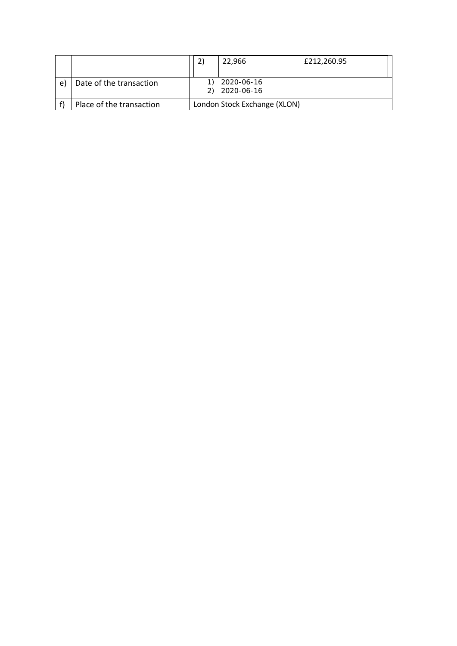|    |                          | 22.966                       | £212,260.95 |
|----|--------------------------|------------------------------|-------------|
|    |                          |                              |             |
| e) | Date of the transaction  | 2020-06-16                   |             |
|    |                          | 2020-06-16                   |             |
|    | Place of the transaction | London Stock Exchange (XLON) |             |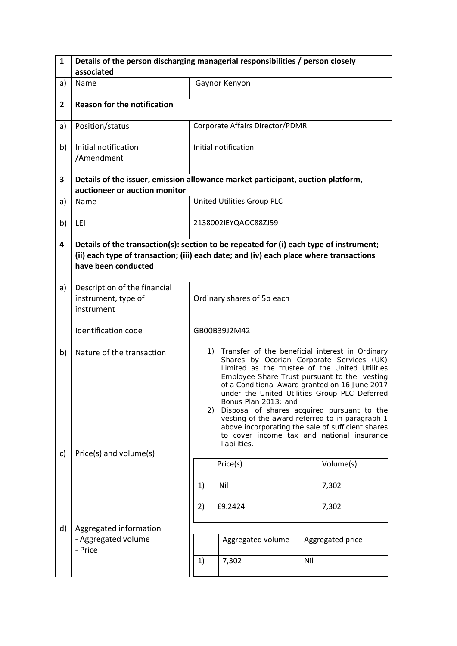| $\mathbf{1}$   | Details of the person discharging managerial responsibilities / person closely<br>associated                     |                                                                                                                                                                                                                                                                                                                                                                                                                                                                                                                                                         |                                        |     |                  |  |  |
|----------------|------------------------------------------------------------------------------------------------------------------|---------------------------------------------------------------------------------------------------------------------------------------------------------------------------------------------------------------------------------------------------------------------------------------------------------------------------------------------------------------------------------------------------------------------------------------------------------------------------------------------------------------------------------------------------------|----------------------------------------|-----|------------------|--|--|
| a)             | Name                                                                                                             |                                                                                                                                                                                                                                                                                                                                                                                                                                                                                                                                                         | Gaynor Kenyon                          |     |                  |  |  |
| $\overline{2}$ | <b>Reason for the notification</b>                                                                               |                                                                                                                                                                                                                                                                                                                                                                                                                                                                                                                                                         |                                        |     |                  |  |  |
| a)             | Position/status                                                                                                  |                                                                                                                                                                                                                                                                                                                                                                                                                                                                                                                                                         | <b>Corporate Affairs Director/PDMR</b> |     |                  |  |  |
| b)             | Initial notification<br>/Amendment                                                                               | Initial notification                                                                                                                                                                                                                                                                                                                                                                                                                                                                                                                                    |                                        |     |                  |  |  |
| $\mathbf{3}$   | Details of the issuer, emission allowance market participant, auction platform,<br>auctioneer or auction monitor |                                                                                                                                                                                                                                                                                                                                                                                                                                                                                                                                                         |                                        |     |                  |  |  |
| a)             | Name                                                                                                             |                                                                                                                                                                                                                                                                                                                                                                                                                                                                                                                                                         | United Utilities Group PLC             |     |                  |  |  |
| b)             | LEI                                                                                                              |                                                                                                                                                                                                                                                                                                                                                                                                                                                                                                                                                         | 2138002IEYQAOC88ZJ59                   |     |                  |  |  |
| 4              | have been conducted                                                                                              | Details of the transaction(s): section to be repeated for (i) each type of instrument;<br>(ii) each type of transaction; (iii) each date; and (iv) each place where transactions                                                                                                                                                                                                                                                                                                                                                                        |                                        |     |                  |  |  |
| a)             | Description of the financial<br>instrument, type of<br>instrument                                                | Ordinary shares of 5p each                                                                                                                                                                                                                                                                                                                                                                                                                                                                                                                              |                                        |     |                  |  |  |
|                | Identification code                                                                                              | GB00B39J2M42                                                                                                                                                                                                                                                                                                                                                                                                                                                                                                                                            |                                        |     |                  |  |  |
| b)             | Nature of the transaction                                                                                        | 1) Transfer of the beneficial interest in Ordinary<br>Shares by Ocorian Corporate Services (UK)<br>Limited as the trustee of the United Utilities<br>Employee Share Trust pursuant to the vesting<br>of a Conditional Award granted on 16 June 2017<br>under the United Utilities Group PLC Deferred<br>Bonus Plan 2013; and<br>Disposal of shares acquired pursuant to the<br>2)<br>vesting of the award referred to in paragraph 1<br>above incorporating the sale of sufficient shares<br>to cover income tax and national insurance<br>liabilities. |                                        |     |                  |  |  |
| c)             | Price(s) and volume(s)                                                                                           |                                                                                                                                                                                                                                                                                                                                                                                                                                                                                                                                                         | Price(s)                               |     | Volume(s)        |  |  |
|                |                                                                                                                  | Nil<br>7,302<br>1)                                                                                                                                                                                                                                                                                                                                                                                                                                                                                                                                      |                                        |     |                  |  |  |
|                |                                                                                                                  | £9.2424<br>2)<br>7,302                                                                                                                                                                                                                                                                                                                                                                                                                                                                                                                                  |                                        |     |                  |  |  |
| d)             | Aggregated information                                                                                           |                                                                                                                                                                                                                                                                                                                                                                                                                                                                                                                                                         |                                        |     |                  |  |  |
|                | - Aggregated volume<br>- Price                                                                                   |                                                                                                                                                                                                                                                                                                                                                                                                                                                                                                                                                         | Aggregated volume                      |     | Aggregated price |  |  |
|                |                                                                                                                  | 1)                                                                                                                                                                                                                                                                                                                                                                                                                                                                                                                                                      | 7,302                                  | Nil |                  |  |  |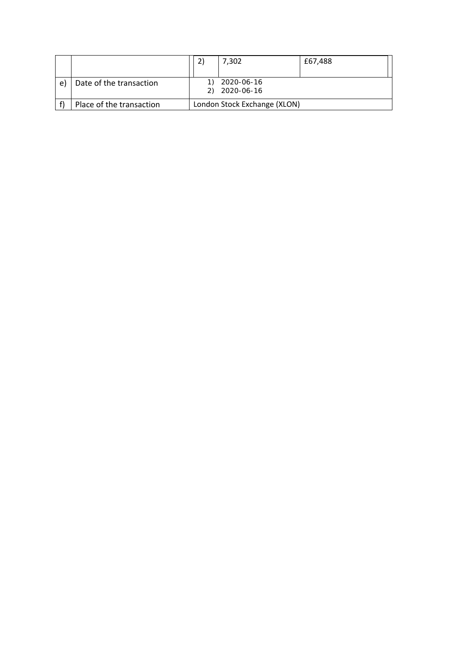|    |                          | 7,302                        | £67,488 |
|----|--------------------------|------------------------------|---------|
|    |                          |                              |         |
| e) | Date of the transaction  | 2020-06-16                   |         |
|    |                          | 2020-06-16                   |         |
|    | Place of the transaction | London Stock Exchange (XLON) |         |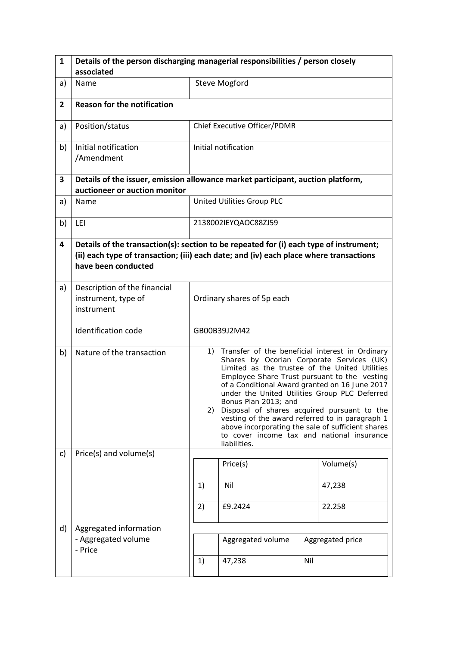| $\mathbf{1}$   | Details of the person discharging managerial responsibilities / person closely<br>associated                     |                                                                                                                                                                                                                                                                                                                                                                                                                                                                                                                                                         |                              |     |                  |  |
|----------------|------------------------------------------------------------------------------------------------------------------|---------------------------------------------------------------------------------------------------------------------------------------------------------------------------------------------------------------------------------------------------------------------------------------------------------------------------------------------------------------------------------------------------------------------------------------------------------------------------------------------------------------------------------------------------------|------------------------------|-----|------------------|--|
| a)             | Name                                                                                                             | <b>Steve Mogford</b>                                                                                                                                                                                                                                                                                                                                                                                                                                                                                                                                    |                              |     |                  |  |
| $\overline{2}$ | <b>Reason for the notification</b>                                                                               |                                                                                                                                                                                                                                                                                                                                                                                                                                                                                                                                                         |                              |     |                  |  |
|                |                                                                                                                  |                                                                                                                                                                                                                                                                                                                                                                                                                                                                                                                                                         |                              |     |                  |  |
| a)             | Position/status                                                                                                  |                                                                                                                                                                                                                                                                                                                                                                                                                                                                                                                                                         | Chief Executive Officer/PDMR |     |                  |  |
| b)             | Initial notification<br>/Amendment                                                                               | Initial notification                                                                                                                                                                                                                                                                                                                                                                                                                                                                                                                                    |                              |     |                  |  |
| $\mathbf{3}$   | Details of the issuer, emission allowance market participant, auction platform,<br>auctioneer or auction monitor |                                                                                                                                                                                                                                                                                                                                                                                                                                                                                                                                                         |                              |     |                  |  |
| a)             | Name                                                                                                             | United Utilities Group PLC                                                                                                                                                                                                                                                                                                                                                                                                                                                                                                                              |                              |     |                  |  |
| b)             | LEI                                                                                                              |                                                                                                                                                                                                                                                                                                                                                                                                                                                                                                                                                         | 2138002IEYQAOC88ZJ59         |     |                  |  |
| 4              | have been conducted                                                                                              | Details of the transaction(s): section to be repeated for (i) each type of instrument;<br>(ii) each type of transaction; (iii) each date; and (iv) each place where transactions                                                                                                                                                                                                                                                                                                                                                                        |                              |     |                  |  |
| a)             | Description of the financial<br>instrument, type of<br>instrument                                                | Ordinary shares of 5p each                                                                                                                                                                                                                                                                                                                                                                                                                                                                                                                              |                              |     |                  |  |
|                | Identification code                                                                                              | GB00B39J2M42                                                                                                                                                                                                                                                                                                                                                                                                                                                                                                                                            |                              |     |                  |  |
| b)             | Nature of the transaction                                                                                        | 1) Transfer of the beneficial interest in Ordinary<br>Shares by Ocorian Corporate Services (UK)<br>Limited as the trustee of the United Utilities<br>Employee Share Trust pursuant to the vesting<br>of a Conditional Award granted on 16 June 2017<br>under the United Utilities Group PLC Deferred<br>Bonus Plan 2013; and<br>Disposal of shares acquired pursuant to the<br>2)<br>vesting of the award referred to in paragraph 1<br>above incorporating the sale of sufficient shares<br>to cover income tax and national insurance<br>liabilities. |                              |     |                  |  |
| c)             | Price(s) and volume(s)                                                                                           |                                                                                                                                                                                                                                                                                                                                                                                                                                                                                                                                                         |                              |     |                  |  |
|                |                                                                                                                  |                                                                                                                                                                                                                                                                                                                                                                                                                                                                                                                                                         | Price(s)                     |     | Volume(s)        |  |
|                |                                                                                                                  | Nil<br>47,238<br>1)                                                                                                                                                                                                                                                                                                                                                                                                                                                                                                                                     |                              |     |                  |  |
|                |                                                                                                                  | 2)<br>£9.2424<br>22.258                                                                                                                                                                                                                                                                                                                                                                                                                                                                                                                                 |                              |     |                  |  |
| d)             | Aggregated information                                                                                           |                                                                                                                                                                                                                                                                                                                                                                                                                                                                                                                                                         |                              |     |                  |  |
|                | - Aggregated volume<br>- Price                                                                                   |                                                                                                                                                                                                                                                                                                                                                                                                                                                                                                                                                         | Aggregated volume            |     | Aggregated price |  |
|                |                                                                                                                  | 1)                                                                                                                                                                                                                                                                                                                                                                                                                                                                                                                                                      | 47,238                       | Nil |                  |  |